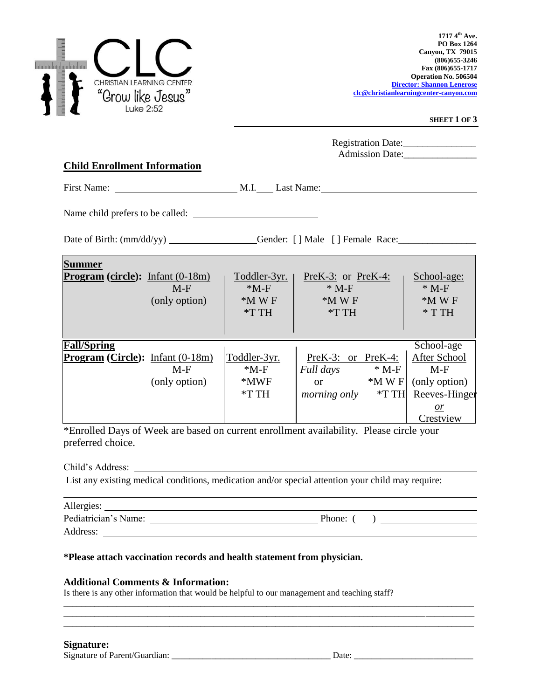

\*Enrolled Days of Week are based on current enrollment availability. Please circle your preferred choice.

Child's Address:

List any existing medical conditions, medication and/or special attention your child may require:

\_\_\_\_\_\_\_\_\_\_\_\_\_\_\_\_\_\_\_\_\_\_\_\_\_\_\_\_\_\_\_\_\_\_\_\_\_\_\_\_\_\_\_\_\_\_\_\_\_\_\_\_\_\_\_\_\_\_\_\_\_\_\_\_\_\_\_\_\_\_\_\_\_\_\_\_\_\_\_\_\_\_\_\_\_\_\_\_\_\_\_\_\_  $\overline{a}$  , and the contribution of the contribution of the contribution of the contribution of the contribution of the contribution of the contribution of the contribution of the contribution of the contribution of the co \_\_\_\_\_\_\_\_\_\_\_\_\_\_\_\_\_\_\_\_\_\_\_\_\_\_\_\_\_\_\_\_\_\_\_\_\_\_\_\_\_\_\_\_\_\_\_\_\_\_\_\_\_\_\_\_\_\_\_\_\_\_\_\_\_\_\_\_\_\_\_\_\_\_\_\_\_\_\_\_\_\_\_\_\_\_\_\_\_\_\_\_\_

| Allergies:           |        |  |
|----------------------|--------|--|
| Pediatrician's Name: | Phone: |  |

Address:

## **\*Please attach vaccination records and health statement from physician.**

## **Additional Comments & Information:**

Is there is any other information that would be helpful to our management and teaching staff?

## **Signature:**

Signature of Parent/Guardian: \_\_\_\_\_\_\_\_\_\_\_\_\_\_\_\_\_\_\_\_\_\_\_\_\_\_\_\_\_\_\_\_\_\_\_\_ Date: \_\_\_\_\_\_\_\_\_\_\_\_\_\_\_\_\_\_\_\_\_\_\_\_\_\_\_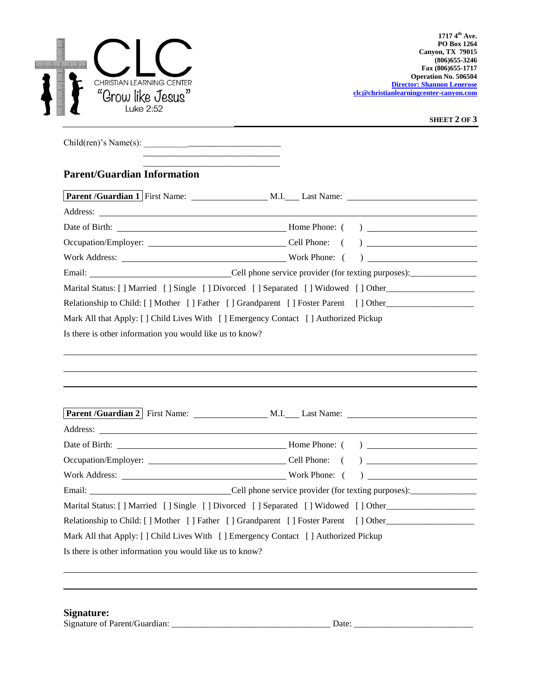| հյուհանահանահանակ<br>CHRISTIAN LEARNING CENTER<br>"Grow like Jesus"<br>Luke 2:52 | $1717.4^{\text{th}}$ Ave.<br><b>PO Box 1264</b><br><b>Canyon, TX 79015</b><br>$(806)$ 655-3246<br>Fax (806) 655-1717<br><b>Operation No. 506504</b><br><b>Director: Shannon Lenerose</b><br>clc@christianlearningcenter-canyon.com                                                                                                                                                 |
|----------------------------------------------------------------------------------|------------------------------------------------------------------------------------------------------------------------------------------------------------------------------------------------------------------------------------------------------------------------------------------------------------------------------------------------------------------------------------|
|                                                                                  | SHEET 2 OF 3                                                                                                                                                                                                                                                                                                                                                                       |
| Child(ren)'s Name(s):                                                            |                                                                                                                                                                                                                                                                                                                                                                                    |
| <b>Parent/Guardian Information</b>                                               |                                                                                                                                                                                                                                                                                                                                                                                    |
|                                                                                  |                                                                                                                                                                                                                                                                                                                                                                                    |
|                                                                                  | Address: <u>Address:</u> Address: Address: Address: Address: Address: Address: Address: Address: Address: Address: Address: Address: Address: Address: Address: Address: Address: Address: Address: Address: Address: Address: Addr                                                                                                                                                |
|                                                                                  |                                                                                                                                                                                                                                                                                                                                                                                    |
|                                                                                  | ) $\overline{\phantom{a}}$                                                                                                                                                                                                                                                                                                                                                         |
|                                                                                  | Work Address: Work Phone: (                                                                                                                                                                                                                                                                                                                                                        |
|                                                                                  | Email: Cell phone service provider (for texting purposes): ______________________                                                                                                                                                                                                                                                                                                  |
| Is there is other information you would like us to know?                         |                                                                                                                                                                                                                                                                                                                                                                                    |
| Address:                                                                         | and the control of the control of the control of the control of the control of the control of the control of the                                                                                                                                                                                                                                                                   |
|                                                                                  |                                                                                                                                                                                                                                                                                                                                                                                    |
|                                                                                  |                                                                                                                                                                                                                                                                                                                                                                                    |
|                                                                                  | Work Address: Work Phone: (<br>$\begin{picture}(150,10) \put(0,0){\line(1,0){10}} \put(15,0){\line(1,0){10}} \put(15,0){\line(1,0){10}} \put(15,0){\line(1,0){10}} \put(15,0){\line(1,0){10}} \put(15,0){\line(1,0){10}} \put(15,0){\line(1,0){10}} \put(15,0){\line(1,0){10}} \put(15,0){\line(1,0){10}} \put(15,0){\line(1,0){10}} \put(15,0){\line(1,0){10}} \put(15,0){\line($ |
|                                                                                  |                                                                                                                                                                                                                                                                                                                                                                                    |
|                                                                                  | Marital Status: [] Married [] Single [] Divorced [] Separated [] Widowed [] Other                                                                                                                                                                                                                                                                                                  |
|                                                                                  | Relationship to Child: [] Mother [] Father [] Grandparent [] Foster Parent [] Other                                                                                                                                                                                                                                                                                                |
|                                                                                  | Mark All that Apply: [] Child Lives With [] Emergency Contact [] Authorized Pickup                                                                                                                                                                                                                                                                                                 |
| Is there is other information you would like us to know?                         |                                                                                                                                                                                                                                                                                                                                                                                    |
|                                                                                  |                                                                                                                                                                                                                                                                                                                                                                                    |